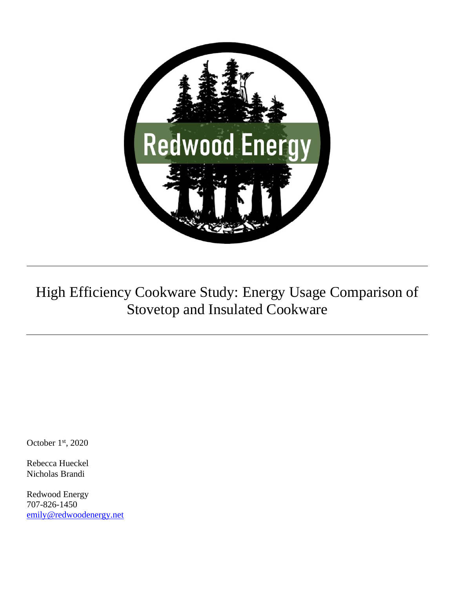

# High Efficiency Cookware Study: Energy Usage Comparison of Stovetop and Insulated Cookware

October 1st, 2020

Rebecca Hueckel Nicholas Brandi

Redwood Energy 707-826-1450 [emily@redwoodenergy.net](mailto:emily@redwoodenergy.net)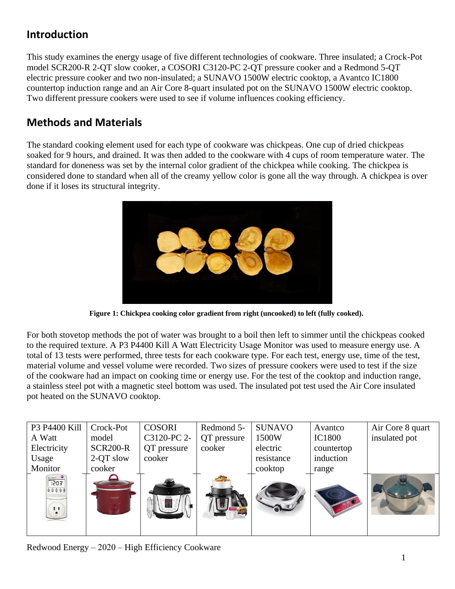## **Introduction**

This study examines the energy usage of five different technologies of cookware. Three insulated; a Crock-Pot model SCR200-R 2-QT slow cooker, a COSORI C3120-PC 2-QT pressure cooker and a Redmond 5-QT electric pressure cooker and two non-insulated; a SUNAVO 1500W electric cooktop, a Avantco IC1800 countertop induction range and an Air Core 8-quart insulated pot on the SUNAVO 1500W electric cooktop. Two different pressure cookers were used to see if volume influences cooking efficiency.

### **Methods and Materials**

The standard cooking element used for each type of cookware was chickpeas. One cup of dried chickpeas soaked for 9 hours, and drained. It was then added to the cookware with 4 cups of room temperature water. The standard for doneness was set by the internal color gradient of the chickpea while cooking. The chickpea is considered done to standard when all of the creamy yellow color is gone all the way through. A chickpea is over done if it loses its structural integrity.



**Figure 1: Chickpea cooking color gradient from right (uncooked) to left (fully cooked).** 

For both stovetop methods the pot of water was brought to a boil then left to simmer until the chickpeas cooked to the required texture. A [P3 P4400 Kill A Watt Electricity Usage Monitor](https://www.amazon.com/gp/product/B00009MDBU/ref=ppx_yo_dt_b_asin_title_o09_s01?ie=UTF8&psc=1) was used to measure energy use. A total of 13 tests were performed, three tests for each cookware type. For each test, energy use, time of the test, material volume and vessel volume were recorded. Two sizes of pressure cookers were used to test if the size of the cookware had an impact on cooking time or energy use. For the test of the cooktop and induction range, a stainless steel pot with a magnetic steel bottom was used. The insulated pot test used the Air Core insulated pot heated on the SUNAVO cooktop.



Redwood Energy – 2020 – High Efficiency Cookware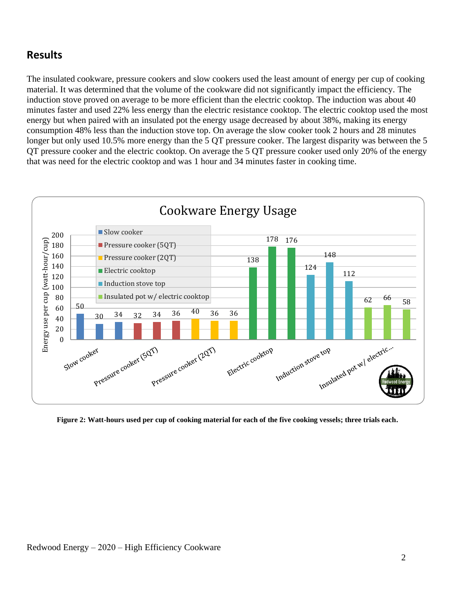#### **Results**

The insulated cookware, pressure cookers and slow cookers used the least amount of energy per cup of cooking material. It was determined that the volume of the cookware did not significantly impact the efficiency. The induction stove proved on average to be more efficient than the electric cooktop. The induction was about 40 minutes faster and used 22% less energy than the electric resistance cooktop. The electric cooktop used the most energy but when paired with an insulated pot the energy usage decreased by about 38%, making its energy consumption 48% less than the induction stove top. On average the slow cooker took 2 hours and 28 minutes longer but only used 10.5% more energy than the 5 QT pressure cooker. The largest disparity was between the 5 QT pressure cooker and the electric cooktop. On average the 5 QT pressure cooker used only 20% of the energy that was need for the electric cooktop and was 1 hour and 34 minutes faster in cooking time.



**Figure 2: Watt-hours used per cup of cooking material for each of the five cooking vessels; three trials each.**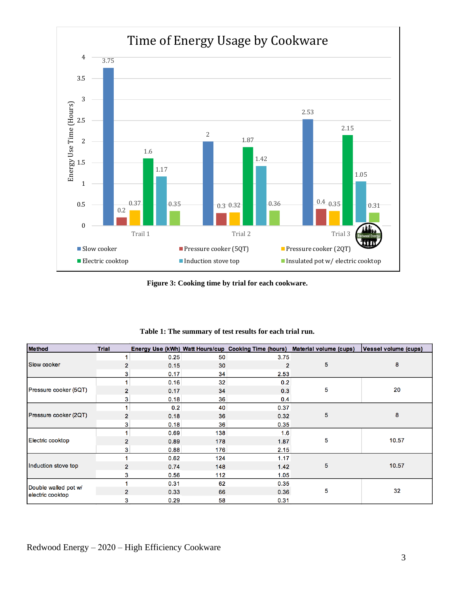

**Figure 3: Cooking time by trial for each cookware.** 

| <b>Method</b>                            | <b>Trial</b>   |      |     |                | Energy Use (kWh) Watt Hours/cup Cooking Time (hours) Material volume (cups) | Vessel volume (cups) |
|------------------------------------------|----------------|------|-----|----------------|-----------------------------------------------------------------------------|----------------------|
| Slow cooker                              | 1              | 0.25 | 50  | 3.75           | 5                                                                           | 8                    |
|                                          | $\overline{2}$ | 0.15 | 30  | $\overline{2}$ |                                                                             |                      |
|                                          | 3              | 0.17 | 34  | 2.53           |                                                                             |                      |
| Pressure cooker (5QT)                    | 1              | 0.16 | 32  | 0.2            | 5                                                                           | 20                   |
|                                          | 2              | 0.17 | 34  | 0.3            |                                                                             |                      |
|                                          | 3              | 0.18 | 36  | 0.4            |                                                                             |                      |
| Pressure cooker (2QT)                    | 1              | 0.2  | 40  | 0.37           | 5                                                                           | 8                    |
|                                          | 2              | 0.18 | 36  | 0.32           |                                                                             |                      |
|                                          | 3              | 0.18 | 36  | 0.35           |                                                                             |                      |
| Electric cooktop                         | 1              | 0.69 | 138 | 1.6            | 5                                                                           | 10.57                |
|                                          | $\overline{2}$ | 0.89 | 178 | 1.87           |                                                                             |                      |
|                                          | 3              | 0.88 | 176 | 2.15           |                                                                             |                      |
| Induction stove top                      |                | 0.62 | 124 | 1.17           | 5                                                                           | 10.57                |
|                                          | $\overline{2}$ | 0.74 | 148 | 1.42           |                                                                             |                      |
|                                          | 3              | 0.56 | 112 | 1.05           |                                                                             |                      |
| Double walled pot w/<br>electric cooktop |                | 0.31 | 62  | 0.35           | 5                                                                           | 32                   |
|                                          | $\overline{2}$ | 0.33 | 66  | 0.36           |                                                                             |                      |
|                                          | 3              | 0.29 | 58  | 0.31           |                                                                             |                      |

**Table 1: The summary of test results for each trial run.**